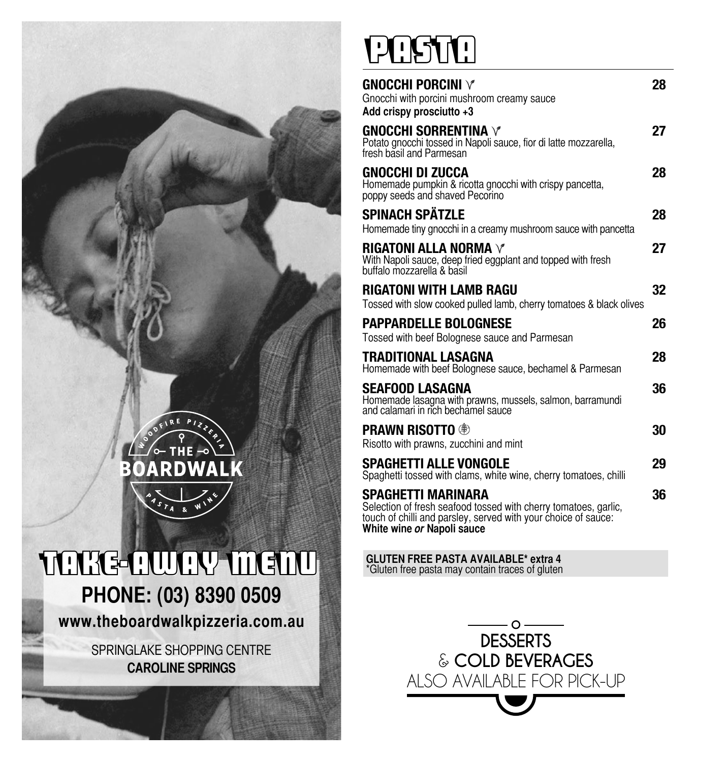

**www.theboardwalkpizzeria.com.au** 

SPRINGLAKE SHOPPING CENTRE **CAROLINE SPRINGS**

# PASTA!

| <b>GNOCCHI PORCINI V</b><br>Gnocchi with porcini mushroom creamy sauce<br>Add crispy prosciutto +3                                                                                    | 28 |
|---------------------------------------------------------------------------------------------------------------------------------------------------------------------------------------|----|
| <b>GNOCCHI SORRENTINA V</b><br>Potato gnocchi tossed in Napoli sauce, fior di latte mozzarella,<br>fresh basil and Parmesan                                                           | 27 |
| GNOCCHI DI ZUCCA<br>Homemade pumpkin & ricotta gnocchi with crispy pancetta,<br>poppy seeds and shaved Pecorino                                                                       | 28 |
| <b>SPINACH SPÄTZLE</b><br>Homemade tiny gnocchi in a creamy mushroom sauce with pancetta                                                                                              | 28 |
| RIGATONI ALLA NORMA $\lor$<br>With Napoli sauce, deep fried eggplant and topped with fresh<br>buffalo mozzarella & basil                                                              | 27 |
| <b>RIGATONI WITH LAMB RAGU</b><br>Tossed with slow cooked pulled lamb, cherry tomatoes & black olives                                                                                 | 32 |
| <b>PAPPARDELLE BOLOGNESE</b><br>Tossed with beef Bolognese sauce and Parmesan                                                                                                         | 26 |
| TRADITIONAL LASAGNA<br>Homemade with beef Bolognese sauce, bechamel & Parmesan                                                                                                        | 28 |
| SEAFOOD LASAGNA<br>Homemade lasagna with prawns, mussels, salmon, barramundi<br>and calamari in rich bechamel sauce                                                                   | 36 |
| <b>PRAWN RISOTTO</b> <sup>®</sup><br>Risotto with prawns, zucchini and mint                                                                                                           | 30 |
| SPAGHETTI ALLE VONGOLE<br>Spaghetti tossed with clams, white wine, cherry tomatoes, chilli                                                                                            | 29 |
| SPAGHETTI MARINARA<br>Selection of fresh seafood tossed with cherry tomatoes, garlic,<br>touch of chilli and parsley, served with your choice of sauce:<br>White wine or Napoli sauce | 36 |

**GLUTEN FREE PASTA AVAILABLE\* extra 4** \*Gluten free pasta may contain traces of gluten

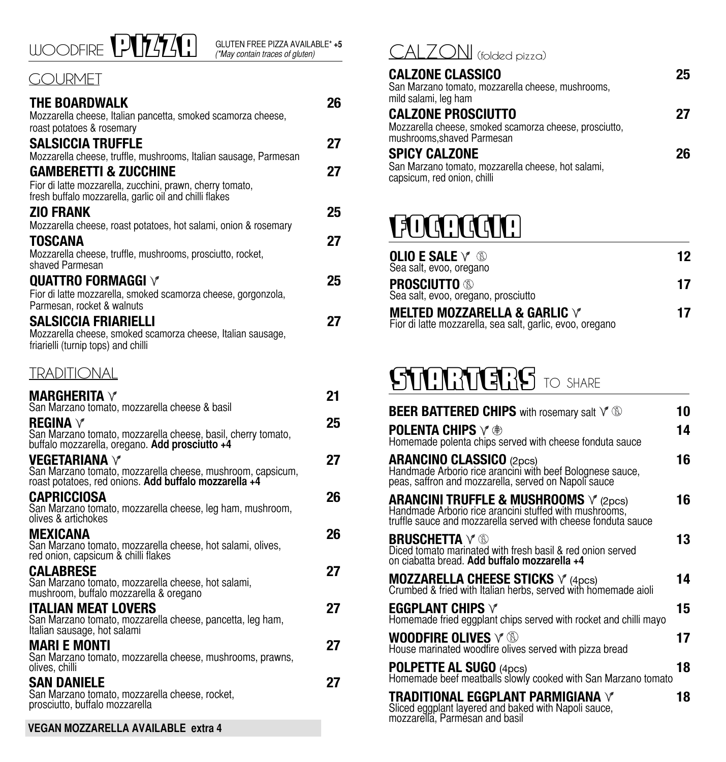

### *GOURMET*

| THE BOARDWALK                                                                                                  | 26 |
|----------------------------------------------------------------------------------------------------------------|----|
| Mozzarella cheese, Italian pancetta, smoked scamorza cheese,                                                   |    |
| roast potatoes & rosemary                                                                                      |    |
| SALSICCIA TRUFFLE                                                                                              | 27 |
| Mozzarella cheese, truffle, mushrooms, Italian sausage, Parmesan                                               |    |
| <b>GAMBERETTI &amp; ZUCCHINE</b><br>Fior di latte mozzarella, zucchini, prawn, cherry tomato,                  | 27 |
| fresh buffalo mozzarella, garlic oil and chilli flakes                                                         |    |
| ZIO FRANK                                                                                                      | 25 |
| Mozzarella cheese, roast potatoes, hot salami, onion & rosemary                                                |    |
| TOSCANA                                                                                                        | 27 |
| Mozzarella cheese, truffle, mushrooms, prosciutto, rocket,                                                     |    |
| shaved Parmesan                                                                                                |    |
| <b>QUATTRO FORMAGGI V</b>                                                                                      | 25 |
| Fior di latte mozzarella, smoked scamorza cheese, gorgonzola,<br>Parmesan, rocket & walnuts                    |    |
| <b>SALSICCIA FRIARIELLI</b>                                                                                    | 27 |
| Mozzarella cheese, smoked scamorza cheese, Italian sausage,                                                    |    |
| friarielli (turnip tops) and chilli                                                                            |    |
|                                                                                                                |    |
| TRADHIONAL                                                                                                     |    |
| MARGHERITA $\forall$                                                                                           | 21 |
| San Marzano tomato, mozzarella cheese & basil                                                                  |    |
| REGINA $\vee$                                                                                                  | 25 |
| San Marzano tomato, mozzarella cheese, basil, cherry tomato,<br>buffalo mozzarella, oregano. Add prosciutto +4 |    |
| VEGETARIANA $\vee$                                                                                             | 27 |
| San Marzano tomato, mozzarella cheese, mushroom, capsicum,                                                     |    |
| roast potatoes, red onions. Add buffalo mozzarella +4                                                          |    |
| CAPRICCIOSA                                                                                                    | 26 |
| San Marzano tomato, mozzarella cheese, leg ham, mushroom,<br>olives & artichokes                               |    |
| MEXICANA                                                                                                       | 26 |
| San Marzano tomato, mozzarella cheese, hot salami, olives,                                                     |    |
| red onion, capsicum & chilli flakes                                                                            |    |
| CALABRESE                                                                                                      | 27 |
| San Marzano tomato, mozzarella cheese, hot salami,<br>mushroom, buffalo mozzarella & oregano                   |    |
| <b>ITALIAN MEAT LOVERS</b>                                                                                     | 27 |
| San Marzano tomato, mozzarella cheese, pancetta, leg ham,                                                      |    |
| Italian sausage, hot salami                                                                                    |    |
| MARI E MONTI<br>San Marzano tomato, mozzarella cheese, mushrooms, prawns,                                      | 27 |
| olives, chilli                                                                                                 |    |
| SAN DANIELE                                                                                                    | 27 |
| San Marzano tomato, mozzarella cheese, rocket,                                                                 |    |
| prosciutto, buffalo mozzarella                                                                                 |    |
| VEGAN MOZZARELLA AVAILABLE extra 4                                                                             |    |

## (\*May contain traces of gluten) CALZONI (folded pizza)

| <b>CALZONE CLASSICO</b><br>San Marzano tomato, mozzarella cheese, mushrooms,<br>mild salami, leg ham              | 25 |
|-------------------------------------------------------------------------------------------------------------------|----|
| <b>CALZONE PROSCIUTTO</b><br>Mozzarella cheese, smoked scamorza cheese, prosciutto,<br>mushrooms, shaved Parmesan | 27 |
| <b>SPICY CALZONE</b><br>San Marzano tomato, mozzarella cheese, hot salami,<br>capsicum, red onion, chilli         | 26 |

# FOCACCIA

| OLIO E SALE $\forall\, \, \circledS$<br>Sea salt, evoo, oregano                                   | 12 |
|---------------------------------------------------------------------------------------------------|----|
| <b>Prosciutto ®</b><br>Sea salt, evoo, oregano, prosciutto                                        | 17 |
| MELTED MOZZARELLA & GARLIC $\forall$<br>Fior di latte mozzarella, sea salt, garlic, evoo, oregano | 17 |

# STARTERS TO SHARE

| <b>BEER BATTERED CHIPS</b> with rosemary salt $\sqrt{\mathbb{Q}}$                                                                                                           | 10 |
|-----------------------------------------------------------------------------------------------------------------------------------------------------------------------------|----|
| <b>POLENTA CHIPS <math>\vee \circledast</math></b><br>Homemade polenta chips served with cheese fonduta sauce                                                               | 14 |
| <b>ARANCINO CLASSICO</b> (2pcs)<br>Handmade Arborio rice arancini with beef Bolognese sauce,<br>peas, saffron and mozzarella, served on Napoli sauce                        | 16 |
| <b>ARANCINI TRUFFLE &amp; MUSHROOMS</b> V (2pcs)<br>Handmade Arborio rice arancini stuffed with mushrooms,<br>truffle sauce and mozzarella served with cheese fonduta sauce | 16 |
| <b>BRUSCHETTA</b> $\vee$ ®<br>Diced tomato marinated with fresh basil & red onion served<br>on ciabatta bread. Add buffalo mozzarella +4                                    | 13 |
| <b>MOZZARELLA CHEESE STICKS</b> $\sqrt{\ }$ (4pcs)<br>Crumbed & fried with Italian herbs, served with homemade aioli                                                        | 14 |
| EGGPLANT CHIPS $\forall$<br>Homemade fried eggplant chips served with rocket and chilli mayo                                                                                | 15 |
| WOODFIRE OLIVES $\lor \textcircled{\tiny{\textcircled{\tiny \textcirc}}}$<br>House marinated woodfire olives served with pizza bread                                        | 17 |
| <b>POLPETTE AL SUGO</b> (4pcs)<br>Homemade beef meatballs slowly cooked with San Marzano tomato                                                                             | 18 |
| <b>TRADITIONAL EGGPLANT PARMIGIANA V</b><br>Sliced eggplant layered and baked with Napoli sauce,<br>mozzarella, Parmésan and basil                                          | 18 |